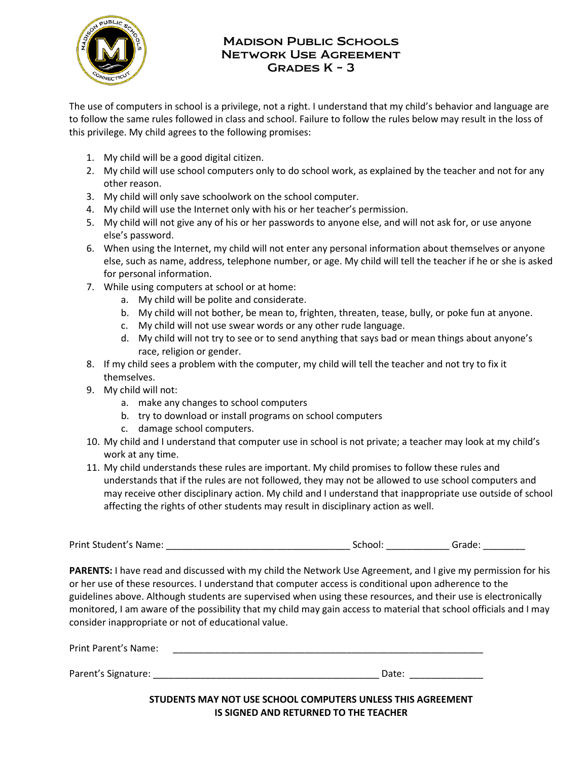

## Grades K – 3 **MADISON PUBLIC SCHOOLS** Network Use Agreement

 to follow the same rules followed in class and school. Failure to follow the rules below may result in the loss of The use of computers in school is a privilege, not a right. I understand that my child's behavior and language are this privilege. My child agrees to the following promises:

- 1. My child will be a good digital citizen.
- 2. My child will use school computers only to do school work, as explained by the teacher and not for any other reason.
- 3. My child will only save schoolwork on the school computer.
- 4. My child will use the Internet only with his or her teacher's permission.
- 5. My child will not give any of his or her passwords to anyone else, and will not ask for, or use anyone else's password.
- 6. When using the Internet, my child will not enter any personal information about themselves or anyone else, such as name, address, telephone number, or age. My child will tell the teacher if he or she is asked for personal information.
- 7. While using computers at school or at home:
	- a. My child will be polite and considerate.
	- b. My child will not bother, be mean to, frighten, threaten, tease, bully, or poke fun at anyone.
	- c. My child will not use swear words or any other rude language.
	- d. My child will not try to see or to send anything that says bad or mean things about anyone's race, religion or gender.
- 8. If my child sees a problem with the computer, my child will tell the teacher and not try to fix it themselves.
- 9. My child will not:
	- a. make any changes to school computers
	- b. try to download or install programs on school computers
	- c. damage school computers.
- 10. My child and I understand that computer use in school is not private; a teacher may look at my child's work at any time.
- 11. My child understands these rules are important. My child promises to follow these rules and may receive other disciplinary action. My child and I understand that inappropriate use outside of school understands that if the rules are not followed, they may not be allowed to use school computers and affecting the rights of other students may result in disciplinary action as well.

Print Student's Name:  $\Box$  and  $\Box$  School:  $\Box$  Grade:  $\Box$ 

 **PARENTS:** I have read and discussed with my child the Network Use Agreement, and I give my permission for his monitored, I am aware of the possibility that my child may gain access to material that school officials and I may or her use of these resources. I understand that computer access is conditional upon adherence to the guidelines above. Although students are supervised when using these resources, and their use is electronically consider inappropriate or not of educational value.

| Print Parent's Name: |       |
|----------------------|-------|
|                      |       |
| Parent's Signature:  | Date: |

 **STUDENTS MAY NOT USE SCHOOL COMPUTERS UNLESS THIS AGREEMENT IS SIGNED AND RETURNED TO THE TEACHER**